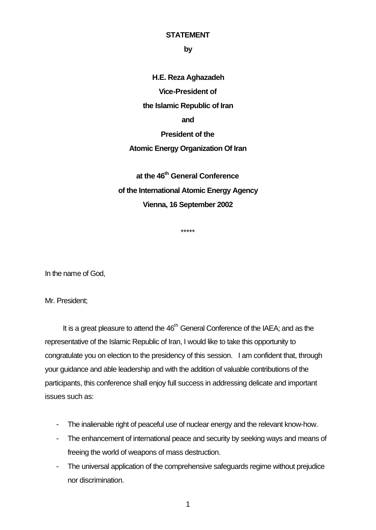## **STATEMENT**

**by**

**H.E. Reza Aghazadeh Vice-President of the Islamic Republic of Iran and President of the Atomic Energy Organization Of Iran**

**at the 46th General Conference of the International Atomic Energy Agency Vienna, 16 September 2002**

\*\*\*\*\*

In the name of God,

Mr. President;

It is a great pleasure to attend the  $46<sup>th</sup>$  General Conference of the IAEA; and as the representative of the Islamic Republic of Iran, I would like to take this opportunity to congratulate you on election to the presidency of this session. I am confident that, through your guidance and able leadership and with the addition of valuable contributions of the participants, this conference shall enjoy full success in addressing delicate and important issues such as:

- The inalienable right of peaceful use of nuclear energy and the relevant know-how.
- The enhancement of international peace and security by seeking ways and means of freeing the world of weapons of mass destruction.
- The universal application of the comprehensive safeguards regime without prejudice nor discrimination.

1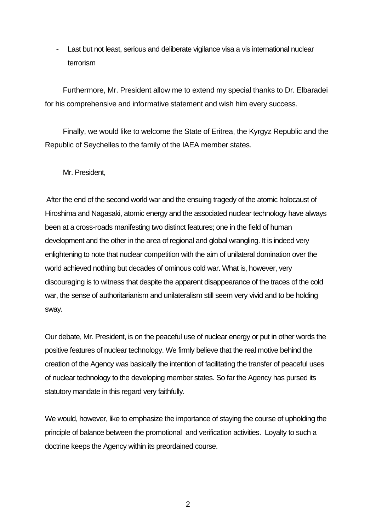Last but not least, serious and deliberate vigilance visa a vis international nuclear terrorism

Furthermore, Mr. President allow me to extend my special thanks to Dr. Elbaradei for his comprehensive and informative statement and wish him every success.

Finally, we would like to welcome the State of Eritrea, the Kyrgyz Republic and the Republic of Seychelles to the family of the IAEA member states.

Mr. President,

After the end of the second world war and the ensuing tragedy of the atomic holocaust of Hiroshima and Nagasaki, atomic energy and the associated nuclear technology have always been at a cross-roads manifesting two distinct features; one in the field of human development and the other in the area of regional and global wrangling. It is indeed very enlightening to note that nuclear competition with the aim of unilateral domination over the world achieved nothing but decades of ominous cold war. What is, however, very discouraging is to witness that despite the apparent disappearance of the traces of the cold war, the sense of authoritarianism and unilateralism still seem very vivid and to be holding sway.

Our debate, Mr. President, is on the peaceful use of nuclear energy or put in other words the positive features of nuclear technology. We firmly believe that the real motive behind the creation of the Agency was basically the intention of facilitating the transfer of peaceful uses of nuclear technology to the developing member states. So far the Agency has pursed its statutory mandate in this regard very faithfully.

We would, however, like to emphasize the importance of staying the course of upholding the principle of balance between the promotional and verification activities. Loyalty to such a doctrine keeps the Agency within its preordained course.

2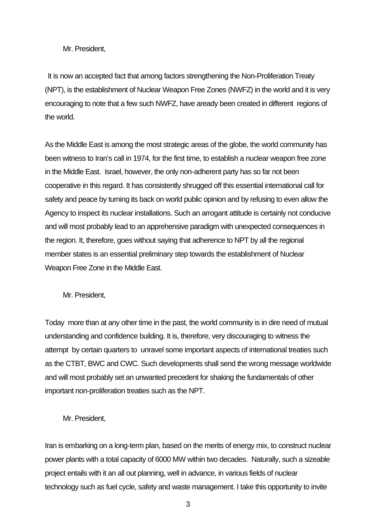## Mr. President,

It is now an accepted fact that among factors strengthening the Non-Proliferation Treaty (NPT), is the establishment of Nuclear Weapon Free Zones (NWFZ) in the world and it is very encouraging to note that a few such NWFZ, have aready been created in different regions of the world.

As the Middle East is among the most strategic areas of the globe, the world community has been witness to Iran's call in 1974, for the first time, to establish a nuclear weapon free zone in the Middle East. Israel, however, the only non-adherent party has so far not been cooperative in this regard. It has consistently shrugged off this essential international call for safety and peace by turning its back on world public opinion and by refusing to even allow the Agency to inspect its nuclear installations. Such an arrogant attitude is certainly not conducive and will most probably lead to an apprehensive paradigm with unexpected consequences in the region. It, therefore, goes without saying that adherence to NPT by all the regional member states is an essential preliminary step towards the establishment of Nuclear Weapon Free Zone in the Middle East.

Mr. President,

Today more than at any other time in the past, the world community is in dire need of mutual understanding and confidence building. It is, therefore, very discouraging to witness the attempt by certain quarters to unravel some important aspects of international treaties such as the CTBT, BWC and CWC. Such developments shall send the wrong message worldwide and will most probably set an unwanted precedent for shaking the fundamentals of other important non-proliferation treaties such as the NPT.

Mr. President,

Iran is embarking on a long-term plan, based on the merits of energy mix, to construct nuclear power plants with a total capacity of 6000 MW within two decades. Naturally, such a sizeable project entails with it an all out planning, well in advance, in various fields of nuclear technology such as fuel cycle, safety and waste management. I take this opportunity to invite

3